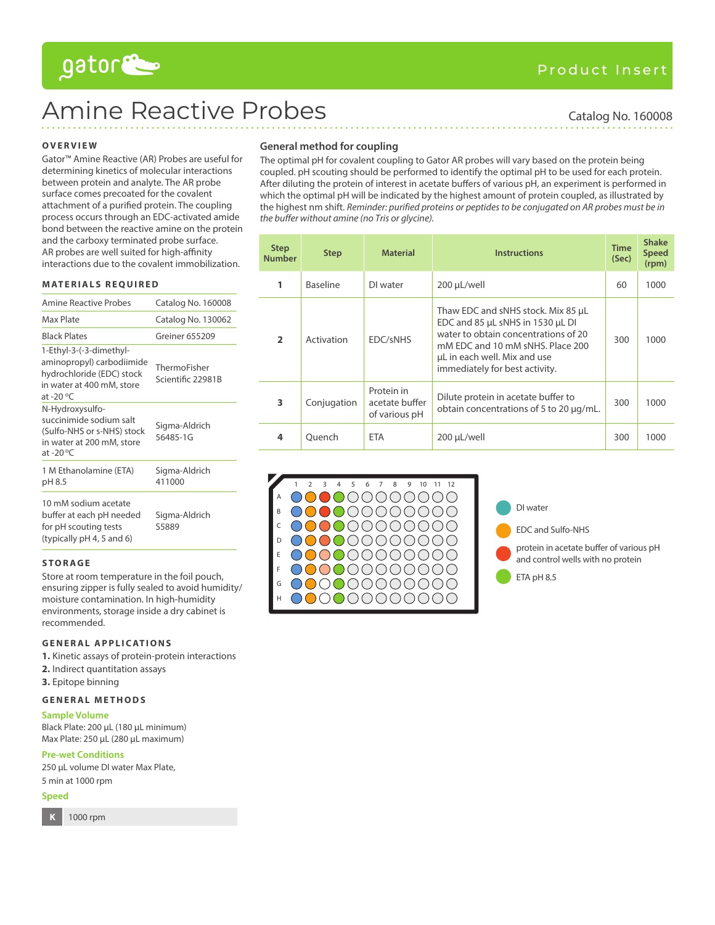# gator

# Amine Reactive Probes Catalog No. 160008

## **OVERVIEW**

Gator™ Amine Reactive (AR) Probes are useful for determining kinetics of molecular interactions between protein and analyte. The AR probe surface comes precoated for the covalent attachment of a purified protein. The coupling process occurs through an EDC-activated amide bond between the reactive amine on the protein and the carboxy terminated probe surface. AR probes are well suited for high-affinity interactions due to the covalent immobilization.

#### **MATERIALS REQUIRED**

| <b>Amine Reactive Probes</b>                                                                                                         | Catalog No. 160008                |
|--------------------------------------------------------------------------------------------------------------------------------------|-----------------------------------|
| Max Plate                                                                                                                            | Catalog No. 130062                |
| <b>Black Plates</b>                                                                                                                  | Greiner 655209                    |
| 1-Ethyl-3-(-3-dimethyl-<br>aminopropyl) carbodiimide<br>hydrochloride (EDC) stock<br>in water at 400 mM, store<br>at -20 $\degree$ C | ThermoFisher<br>Scientific 22981B |
| N-Hydroxysulfo-<br>succinimide sodium salt<br>(Sulfo-NHS or s-NHS) stock<br>in water at 200 mM, store<br>at -20 $\mathrm{^{\circ}C}$ | Sigma-Aldrich<br>56485-1G         |
| 1 M Ethanolamine (ETA)<br>pH 8.5                                                                                                     | Sigma-Aldrich<br>411000           |
| 10 mM sodium acetate<br>buffer at each pH needed<br>for pH scouting tests<br>(typically pH 4, 5 and 6)                               | Sigma-Aldrich<br>S5889            |

#### **STORAGE**

Store at room temperature in the foil pouch, ensuring zipper is fully sealed to avoid humidity/ moisture contamination. In high-humidity environments, storage inside a dry cabinet is recommended.

#### **GENERAL APPLICATIONS**

**1.** Kinetic assays of protein-protein interactions

- **2.** Indirect quantitation assays
- **3.** Epitope binning

## **GENERAL METHODS**

**Sample Volume**

Black Plate: 200 µL (180 µL minimum) Max Plate: 250 µL (280 µL maximum)

**Pre-wet Conditions**

250 µL volume DI water Max Plate, 5 min at 1000 rpm

#### **Speed**

**K** 1000 rpm

**General method for coupling**

The optimal pH for covalent coupling to Gator AR probes will vary based on the protein being coupled. pH scouting should be performed to identify the optimal pH to be used for each protein. After diluting the protein of interest in acetate buffers of various pH, an experiment is performed in which the optimal pH will be indicated by the highest amount of protein coupled, as illustrated by the highest nm shift. Reminder: purified proteins or peptides to be conjugated on AR probes must be in the buffer without amine (no Tris or glycine).

| <b>Step</b><br><b>Number</b> | <b>Step</b>     | <b>Material</b>                               | Instructions                                                                                                                                                                                                         | <b>Time</b><br>(Sec) | <b>Shake</b><br><b>Speed</b><br>(rpm) |
|------------------------------|-----------------|-----------------------------------------------|----------------------------------------------------------------------------------------------------------------------------------------------------------------------------------------------------------------------|----------------------|---------------------------------------|
| 1                            | <b>Baseline</b> | DI water                                      | 200 µL/well                                                                                                                                                                                                          | 60                   | 1000                                  |
| $\overline{ }$               | Activation      | EDC/sNHS                                      | Thaw EDC and sNHS stock. Mix 85 µL<br>EDC and 85 µL sNHS in 1530 µL DI<br>water to obtain concentrations of 20<br>mM EDC and 10 mM sNHS. Place 200<br>uL in each well. Mix and use<br>immediately for best activity. | 300                  | 1000                                  |
| 3                            | Conjugation     | Protein in<br>acetate buffer<br>of various pH | Dilute protein in acetate buffer to<br>obtain concentrations of 5 to 20 µg/mL.                                                                                                                                       | 300                  | 1000                                  |
| 4                            | Ouench          | <b>ETA</b>                                    | 200 µL/well                                                                                                                                                                                                          | 300                  | 1000                                  |



DI water EDC and Sulfo-NHS protein in acetate buffer of various pH and control wells with no protein ETA pH 8.5